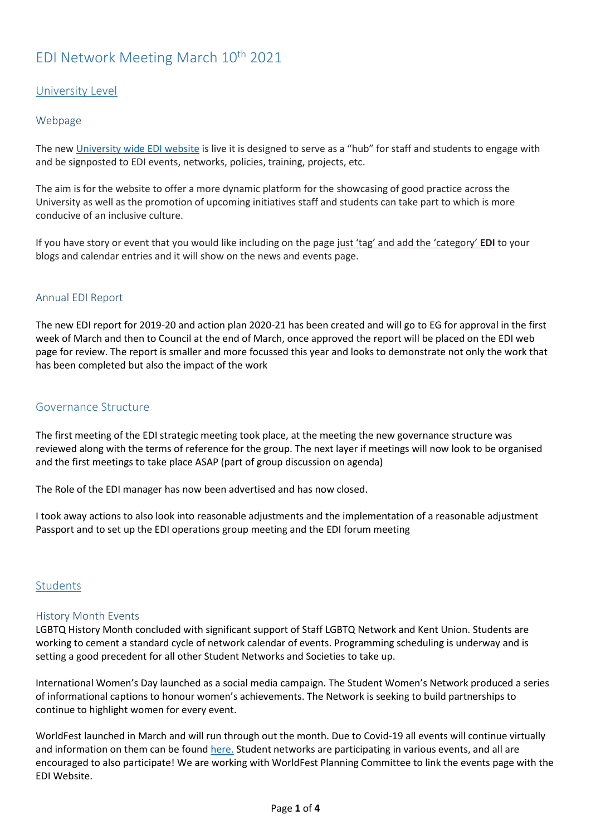# EDI Network Meeting March 10th 2021

# University Level

## Webpage

The ne[w University wide EDI website](https://webtools.kent.ac.uk/site-editor/draft/www.kent.ac.uk/equality-diversity-inclusivity/) is live it is designed to serve as a "hub" for staff and students to engage with and be signposted to EDI events, networks, policies, training, projects, etc.

The aim is for the website to offer a more dynamic platform for the showcasing of good practice across the University as well as the promotion of upcoming initiatives staff and students can take part to which is more conducive of an inclusive culture.

If you have story or event that you would like including on the page just 'tag' and add the 'category' **EDI** to your blogs and calendar entries and it will show on the news and events page.

## Annual EDI Report

The new EDI report for 2019-20 and action plan 2020-21 has been created and will go to EG for approval in the first week of March and then to Council at the end of March, once approved the report will be placed on the EDI web page for review. The report is smaller and more focussed this year and looks to demonstrate not only the work that has been completed but also the impact of the work

#### Governance Structure

The first meeting of the EDI strategic meeting took place, at the meeting the new governance structure was reviewed along with the terms of reference for the group. The next layer if meetings will now look to be organised and the first meetings to take place ASAP (part of group discussion on agenda)

The Role of the EDI manager has now been advertised and has now closed.

I took away actions to also look into reasonable adjustments and the implementation of a reasonable adjustment Passport and to set up the EDI operations group meeting and the EDI forum meeting

## Students

#### History Month Events

LGBTQ History Month concluded with significant support of Staff LGBTQ Network and Kent Union. Students are working to cement a standard cycle of network calendar of events. Programming scheduling is underway and is setting a good precedent for all other Student Networks and Societies to take up.

International Women's Day launched as a social media campaign. The Student Women's Network produced a series of informational captions to honour women's achievements. The Network is seeking to build partnerships to continue to highlight women for every event.

WorldFest launched in March and will run through out the month. Due to Covid-19 all events will continue virtually and information on them can be found [here.](https://www.kent.ac.uk/worldfest) Student networks are participating in various events, and all are encouraged to also participate! We are working with WorldFest Planning Committee to link the events page with the EDI Website.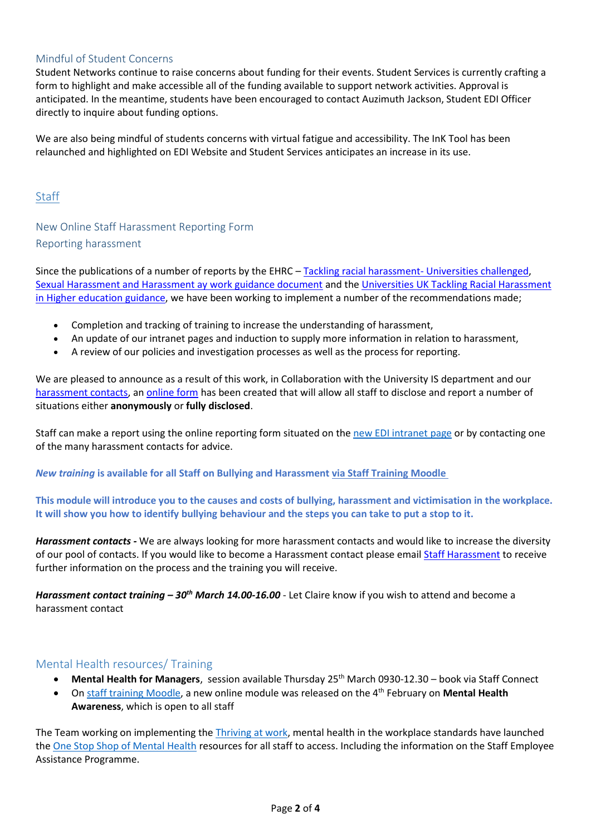#### Mindful of Student Concerns

Student Networks continue to raise concerns about funding for their events. Student Services is currently crafting a form to highlight and make accessible all of the funding available to support network activities. Approval is anticipated. In the meantime, students have been encouraged to contact Auzimuth Jackson, Student EDI Officer directly to inquire about funding options.

We are also being mindful of students concerns with virtual fatigue and accessibility. The InK Tool has been relaunched and highlighted on EDI Website and Student Services anticipates an increase in its use.

## **Staff**

# New Online Staff Harassment Reporting Form Reporting harassment

Since the publications of a number of reports by the EHRC – [Tackling racial harassment-](https://www.equalityhumanrights.com/sites/default/files/tackling-racial-harassment-universities-challenged.pdf) Universities challenged, [Sexual Harassment and Harassment ay work guidance document](https://www.equalityhumanrights.com/en/publication-download/sexual-harassment-and-harassment-work-technical-guidance) and the [Universities UK Tackling Racial Harassment](https://www.universitiesuk.ac.uk/tackling-racial-harassment)  [in Higher education guidance,](https://www.universitiesuk.ac.uk/tackling-racial-harassment) we have been working to implement a number of the recommendations made;

- Completion and tracking of training to increase the understanding of harassment,
- An update of our intranet pages and induction to supply more information in relation to harassment,
- A review of our policies and investigation processes as well as the process for reporting.

We are pleased to announce as a result of this work, in Collaboration with the University IS department and our [harassment contacts,](https://webtools.kent.ac.uk/site-editor/draft/www.kent.ac.uk/equality-diversity-inclusivity/harassment/harassment-contacts) a[n online form](https://webtools.kent.ac.uk/site-editor/draft/www.kent.ac.uk/equality-diversity-inclusivity/reporting-incidents) has been created that will allow all staff to disclose and report a number of situations either **anonymously** or **fully disclosed**.

Staff can make a report using the online reporting form situated on the [new EDI intranet page](https://webtools.kent.ac.uk/site-editor/draft/www.kent.ac.uk/equality-diversity-inclusivity/) or by contacting one of the many harassment contacts for advice.

*New training* **is available for all Staff on Bullying and Harassment [via Staff Training Moodle](https://moodle.kent.ac.uk/stafftraining/course/view.php?id=25)**

**This module will introduce you to the causes and costs of bullying, harassment and victimisation in the workplace. It will show you how to identify bullying behaviour and the steps you can take to put a stop to it.**

*Harassment contacts -* We are always looking for more harassment contacts and would like to increase the diversity of our pool of contacts. If you would like to become a Harassment contact please email [Staff Harassment](file:///C:/Users/cc730/AppData/Local/Microsoft/Windows/INetCache/Content.Outlook/6WGH15G8/Staffharassment@kent.ac.uk) to receive further information on the process and the training you will receive.

*Harassment contact training – 30th March 14.00-16.00* - Let Claire know if you wish to attend and become a harassment contact

## Mental Health resources/ Training

- **Mental Health for Managers**, session available Thursday 25th March 0930-12.30 book via Staff Connect
- O[n staff training Moodle,](https://sso.id.kent.ac.uk/idp/module.php/core/loginuserpass.php?AuthState=_31f305109c82ed4ddb97babb59eabc8184de7ec47b%3Ahttps%3A%2F%2Fsso.id.kent.ac.uk%2Fidp%2Fsaml2%2Fidp%2FSSOService.php%3Fspentityid%3Dhttps%253A%252F%252Fmoodle.kent.ac.uk%252F_sp%26RelayState%3Dhttps%253A%252F%252Fmoodle.kent.ac.uk%252Fstafftraining%252Fmy%252F%26cookieTime%3D1611566665) a new online module was released on the 4th February on **Mental Health Awareness**, which is open to all staff

The Team working on implementing the [Thriving at work,](https://assets.publishing.service.gov.uk/government/uploads/system/uploads/attachment_data/file/658145/thriving-at-work-stevenson-farmer-review.pdf) mental health in the workplace standards have launched the [One Stop Shop of Mental Health](https://livekentac.sharepoint.com/sites/MentalHealthSupport?e=1%3A42617a66528a47c4896854b3e63a3221) resources for all staff to access. Including the information on the Staff Employee Assistance Programme.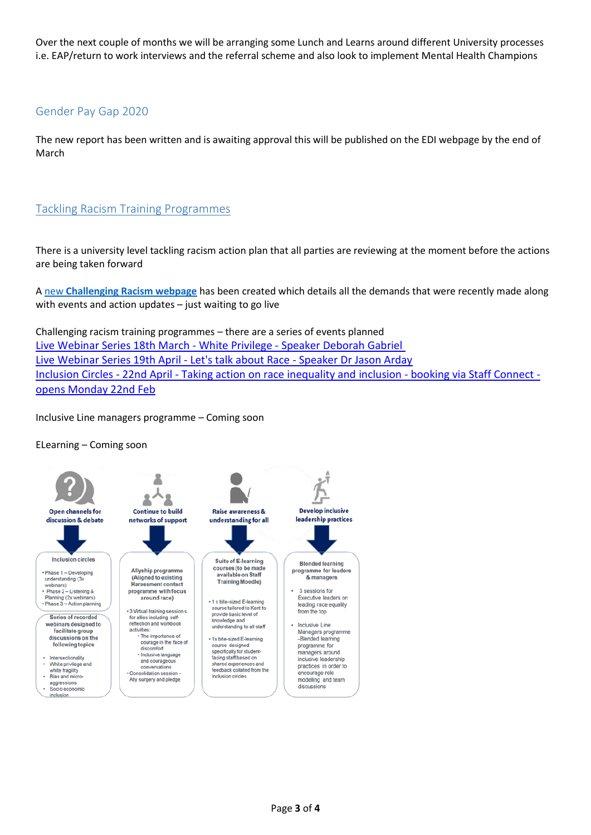Over the next couple of months we will be arranging some Lunch and Learns around different University processes i.e. EAP/return to work interviews and the referral scheme and also look to implement Mental Health Champions

# Gender Pay Gap 2020

The new report has been written and is awaiting approval this will be published on the EDI webpage by the end of March

## Tackling Racism Training Programmes

There is a university level tackling racism action plan that all parties are reviewing at the moment before the actions are being taken forward

A new **[Challenging Racism webpage](https://webtools.kent.ac.uk/site-editor/draft/www.kent.ac.uk/challenging-racism)** has been created which details all the demands that were recently made along with events and action updates – just waiting to go live

Challenging racism training programmes – there are a series of events planned [Live Webinar Series 18th March -](https://www.eventbrite.co.uk/e/challenging-racism-collaborative-campaign-webinar-series-2021-tickets-137402439395) White Privilege - Speaker Deborah Gabriel [Live Webinar Series 19th April -](https://www.eventbrite.co.uk/e/challenging-racism-collaborative-campaign-webinar-series-2021-tickets-137402439395) Let's talk about Race - Speaker Dr Jason Arday Inclusion Circles - 22nd April - [Taking action on race inequality and inclusion -](https://staffconnect.kent.ac.uk/) booking via Staff Connect [opens Monday 22nd Feb](https://staffconnect.kent.ac.uk/)

Inclusive Line managers programme – Coming soon

ELearning – Coming soon